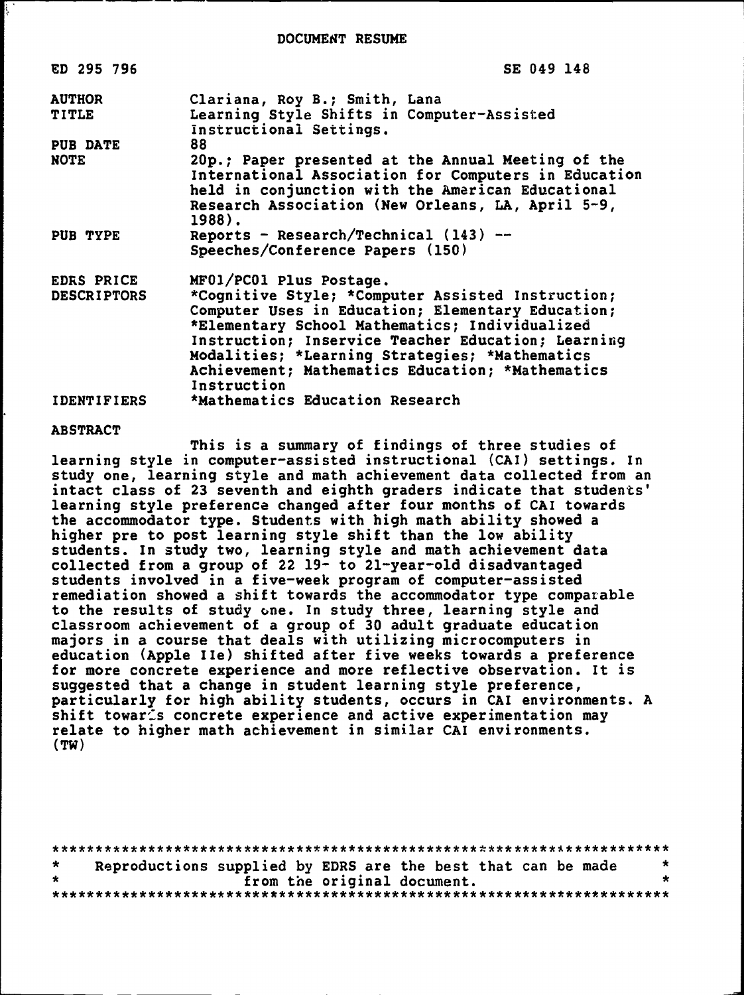DOCUMENT RESUME

| ED 295 796                       | SE 049 148                                                                                                                                                                                                                                                                                                                                                     |
|----------------------------------|----------------------------------------------------------------------------------------------------------------------------------------------------------------------------------------------------------------------------------------------------------------------------------------------------------------------------------------------------------------|
| <b>AUTHOR</b><br><b>TITLE</b>    | Clariana, Roy B.; Smith, Lana<br>Learning Style Shifts in Computer-Assisted<br>Instructional Settings.                                                                                                                                                                                                                                                         |
| PUB DATE                         | 88.                                                                                                                                                                                                                                                                                                                                                            |
| <b>NOTE</b>                      | 20p.; Paper presented at the Annual Meeting of the<br>International Association for Computers in Education<br>held in conjunction with the American Educational<br>Research Association (New Orleans, LA, April 5-9,<br>1988).                                                                                                                                 |
| PUB TYPE                         | Reports - Research/Technical $(143)$ --<br>Speeches/Conference Papers (150)                                                                                                                                                                                                                                                                                    |
| EDRS PRICE<br><b>DESCRIPTORS</b> | MF01/PC01 Plus Postage.<br>*Cognitive Style; *Computer Assisted Instruction;<br>Computer Uses in Education; Elementary Education;<br>*Elementary School Mathematics; Individualized<br>Instruction; Inservice Teacher Education; Learning<br>Modalities; *Learning Strategies; *Mathematics<br>Achievement; Mathematics Education; *Mathematics<br>Instruction |
| <b>IDENTIFIERS</b>               | *Mathematics Education Research                                                                                                                                                                                                                                                                                                                                |

#### ABSTRACT

This is a summary of findings of three studies of learning style in computer-assisted instructional (CAI) Settings. In study one, learning style and math achievement data collected from an intact class of 23 seventh and eighth graders indicate that students' learning style preference changed after four months of CAI towards the accommodator type. Students with high math ability showed a higher pre to post learning style shift than the low ability students. In study two, learning style and math achievement data collected from a group of 22 19- to 21-year-old disadvantaged students involved in a five-week program of computer-assisted remediation showed a shift towards the accommodator type comparable to the results of study one. In study three, learning style and classroom achievement of a group of 30 adult graduate education majors in a course that deals with utilizing microcomputers in education (Apple IIe) shifted after five weeks towards a preference for more concrete experience and more reflective Observation. It is suggested that a change in student learning style preference, particularly for high ability students, occurs in CAI environments. A shift towar<sup>ts</sup> concrete experience and active experimentation may relate to higher math achievement in similar CAI environments. (TW)

| $\star$ | Reproductions supplied by EDRS are the best that can be made |  |                             | $\star$ |
|---------|--------------------------------------------------------------|--|-----------------------------|---------|
| $\star$ |                                                              |  | from the original document. |         |
|         |                                                              |  |                             |         |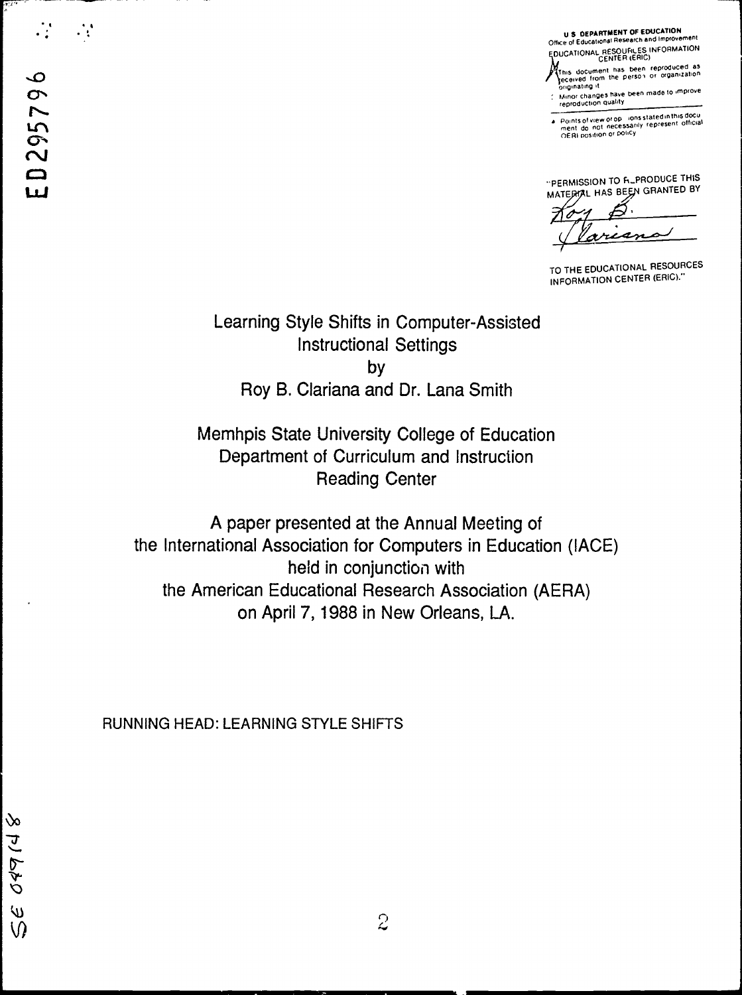U S DEPARTMENT OF EDUCATION Office of Educational Research and Improvement EDUCATIONAL RESOURCES INFORMATION

- This document has been reproduced as<br>eceived from the person or organization<br>originating it
- Minor changes have been made to improve<br>reproduction quality

Points of view or op ⊹ions stated in this docu<br>ment :do\_not\_necessarily\_represent\_official<br>OERI position or policy

"PERMISSION TO FILPRODUCE THIS MATERIAL HAS BEEN GRANTED BY

sn

TO THE EDUCATIONAL RESOURCES INFORMATION CENTER (ERIC)."

Learning Style Shifts in Computer-Assisted **Instructional Settings** by Roy B. Clariana and Dr. Lana Smith

Memhpis State University College of Education Department of Curriculum and Instruction **Reading Center** 

A paper presented at the Annual Meeting of the International Association for Computers in Education (IACE) held in conjunction with the American Educational Research Association (AERA) on April 7, 1988 in New Orleans, LA.

 $\overline{c}$ 

RUNNING HEAD: LEARNING STYLE SHIFTS

 $\mathcal{L}_{\mathcal{A}}$ 

 $\mathcal{N}^{\mathcal{L}^{\mathcal{M}}}$ 

 $\infty$ 

04914

 $\omega$ 

 $\Omega$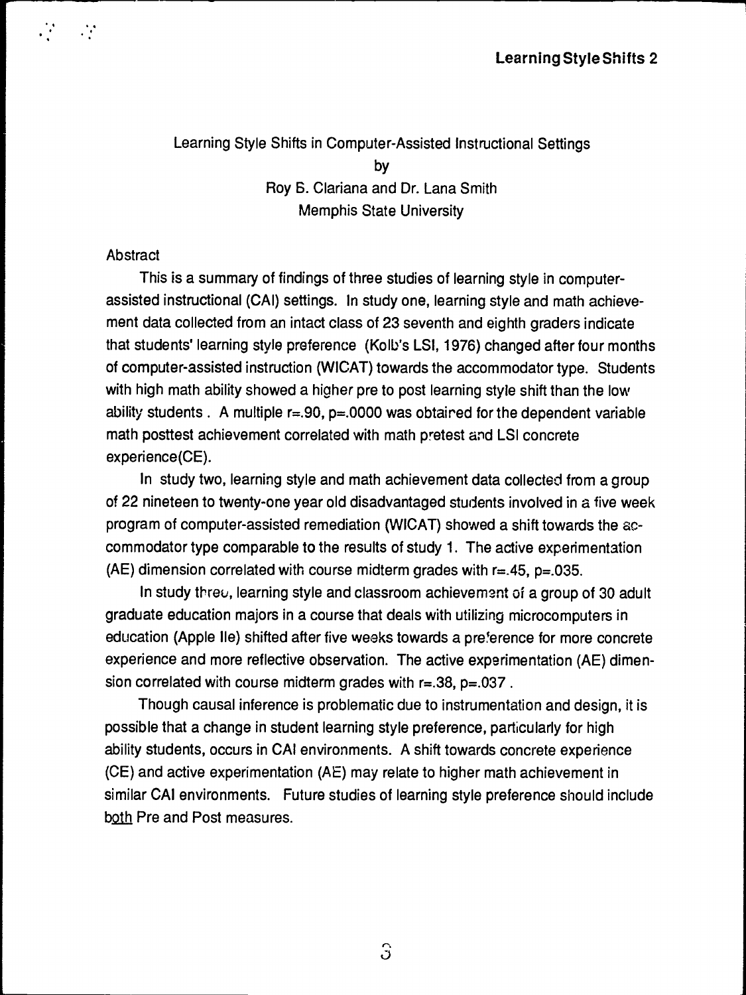# Learning Style Shifts in Computer-Assisted lnstructional Settings by Roy S. Clariana and Dr. Lana Smith Memphis State University

### **Abstract**

 $\mathbf{r}$ .

This is a summary of findings of three studies of learning style in computerassisted instructional (CAI) settings. In study one, learning style and math achievement data collected from an intact class of 23 seventh and eighth graders indicate that students' learning style preference (Kolb's LSI, 1976) changed after four months of computer-assisted instruction (WICAT) towards the accommodator type. Students with high math ability showed a higher pre to post learning style shift than the low ability students . A multiple  $r=.90$ ,  $p=.0000$  was obtaired for the dependent variable math posttest achievement correlated with math pretest and LSI concrete experience(CE).

ln study two, learning style and math achievement data collected from a group of 22 nineteen to twenty-one year old disadvantaged students involved in a five week program of computer-assisted remediation (WICAT) showed a shift towards the accommodator type comparable to the results of study 1. The active experimentation (AE) dimension correlated with course midterm grades with  $r=.45$ ,  $p=.035$ .

In study threu, learning style and classroom achievement of a group of 30 adult graduate education majors in a coursethat deals with utilizing microcomputers in education (Apple IIe) shifted after five weeks towards a preference for more concrete experience and more reflective observation. The active experimentation (AE) dimension correlated with course midterm grades with r=.38, p=.037.

Though causal inference is problematic due to instrumentation and design, it is possible that a change in student learning style preference, particularly for high ability students, occurs in CAI environments. A shift towards concrete experience (CE) and active experimentation (AE) may relate to higher math achievement in similar CAI environments. Future studies of learning style preference should include both Pre and Post measures.

 $\Omega$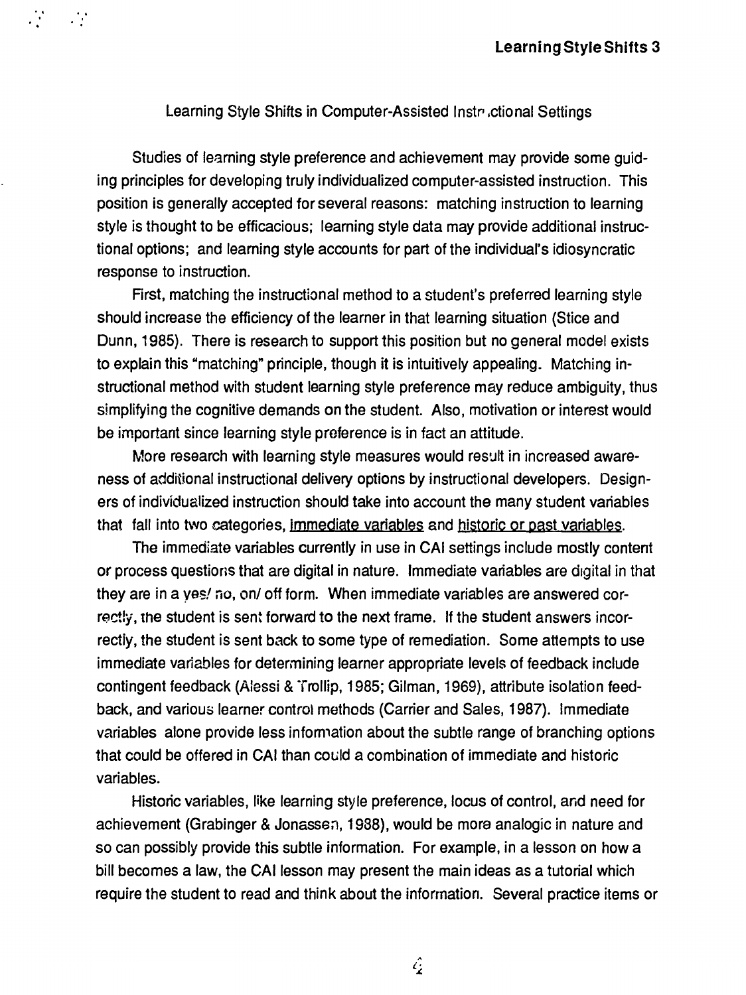#### Learning Style Shifts in Computer-Assisted lnstr .ctional Settings

.. . . . '

Studies of learning style preference and achievement may provide some quiding principles for developing truly individualized computer-assisted instruction. This position is generally accepted for several reasons: matehing instruction to learning style is thought to be efficacious; learning style data may provide additional instructional options; and learning style accounts for part of the individual's idiosyncratic response to instruction.

First, matehing the instructional method to a student's preferred learning style should increase the efficiency of the learner in that learning situation (Stice and Dunn, 1985). There is research to support this position but no generat model exists to explain this "matching" principle, though it is intuitively appealing. Matehing instructional method with student learning style preference may reduce ambiguity, thus simplifying the cognitive demands on the student. Also, motivation or interest would be important since learning style preference is in fact an attitude.

More research with learning style measures would result in increased awareness of additional instructional delivery options by instructional developers. Designers of individualized instruction should take into account the many student variables that fall into two categories, immediate variables and historic or past variables.

The immediate variables currently in use in CAI settings include mostly content or process questions that are digital in nature. Immediate variables are digital in that they are in a yes! no, on/ off form. When immediate variables are answered correctly, the student is sent forward to the next frame. If the student answers incorrectly, the student is sent back to some type of remediation. Some attempts to use immediate variables for determining learner appropriate Ieveis of feedback include contingent feedback (Aiessi & Trollip, 1985; Gilman, 1969), attribute isolation feedback, and various learner control methods (Carrier and Sales, 1987). Immediate variables alone provide less information about the subtle range of branching options that could be affered in CAI than could a combination of immediate and historic variables.

Historic variables, like learning style preference, locus of control, and need for achievement (Grabinger & Jonassen, 1988), would be more analogic in nature and so can possibly provide this subtle information. For example, in a lesson on how a bill becomes a law, the CAI lesson may present the main ideas as a tutorial which require the student to read and think about the inforrnation. Several practice items or

 $\hat{\mathcal{L}}$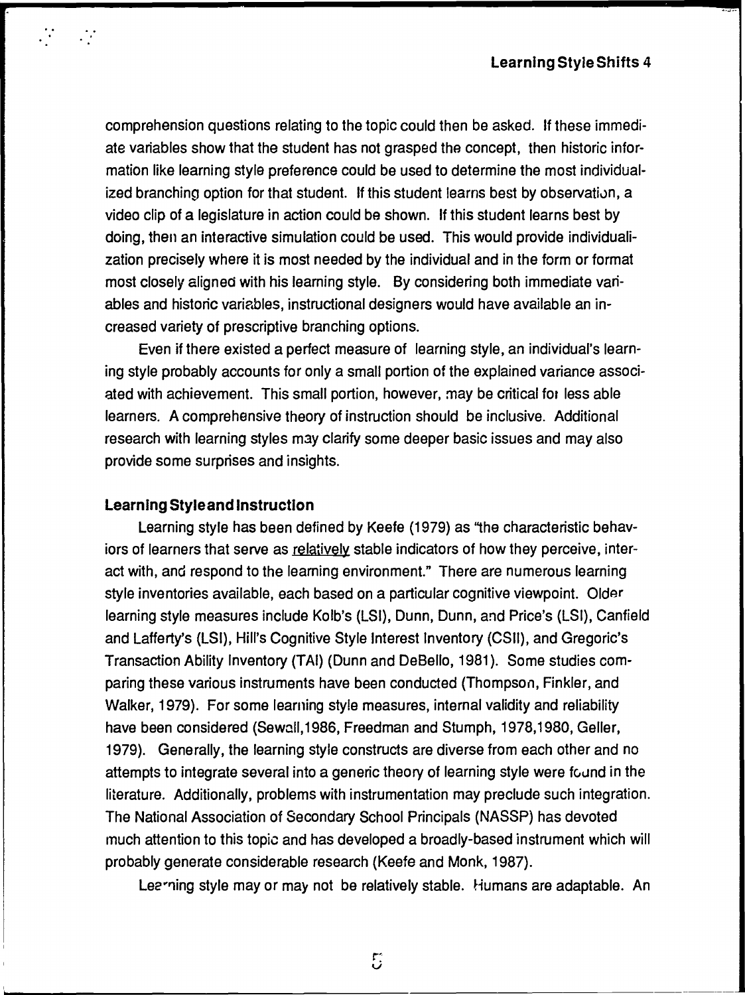comprehension questions relating to the topic could then be asked. lf these immediate variables show that the student has not grasped the concept, then historic information like learning style preference could be used to determine the most individualized branching option for that student. If this student learns best by observation, a video clip of a legislature in action could be shown. If this student learns best by doing, then an interactive Simulation could be used. This would provide individualization precisely where it is most needed by the individual and in the form or format most closely aligned with his learning style. By considering both immediate variables and historic variables, instructional designers would have available an increased variety of prescriptive branching options.

Even if there existed a perfect measure of learning style, an individual's learning style probably accounts for only a small portion of the explained variance associated with achievement. This small portion, however, may be critical for lass able learners. A comprehensive theory of instruction should be inclusive. Additional research with learning styles may clarify some deeper basic issues and may also provide some surprises and insights.

### Learnlng Styleand lnstructlon

 $\frac{1}{2} \sum_{i=1}^n \frac{1}{2} \sum_{j=1}^n \frac{1}{2} \sum_{j=1}^n \frac{1}{2} \sum_{j=1}^n \frac{1}{2} \sum_{j=1}^n \frac{1}{2} \sum_{j=1}^n \frac{1}{2} \sum_{j=1}^n \frac{1}{2} \sum_{j=1}^n \frac{1}{2} \sum_{j=1}^n \frac{1}{2} \sum_{j=1}^n \frac{1}{2} \sum_{j=1}^n \frac{1}{2} \sum_{j=1}^n \frac{1}{2} \sum_{j=1}^n \frac{1}{2} \sum_{j=$ 

Learning style has been defined by Keefe (1979) as "the characteristic behaviors of learners that serve as relatively stable indicators of how they perceive, interact with, and respond to the learning environment." There are numerous learning style inventories available, each based on a particular cognitive viewpoint. Older learning style measures include Kolb's (LSI), Dunn, Dunn, and Price's (LSI), Canfield and Lafferty's (LSI), Hill's Cognitive Style Interast lnventory (CSJJ), and Gregoric's Transaction Ability lnventory (TAl) (Dunn and DeBello, 1981 ). Same studies comparing these various instruments have been conducted (Thompson, Finkler, and Walker, 1979). For some learning style measures, internal validity and reliability have been considered (Sewall, 1986, Freedman and Stumph, 1978, 1980, Geller, 1979). Generally, the learning style constructs arediverse from each other and no attempts to integrate several into a generic theory of learning style were found in the literature. Additionally, problems with instrumentation may preclude such integration. The National Association of Secondary School Principals (NASSP) has devoted much attention to this topic and has developed a broadly-based instrument which will probably generate considerable research (Keefe and Monk, 1987).

Lee ring style may or may not be relatively stable. Humans are adaptable. An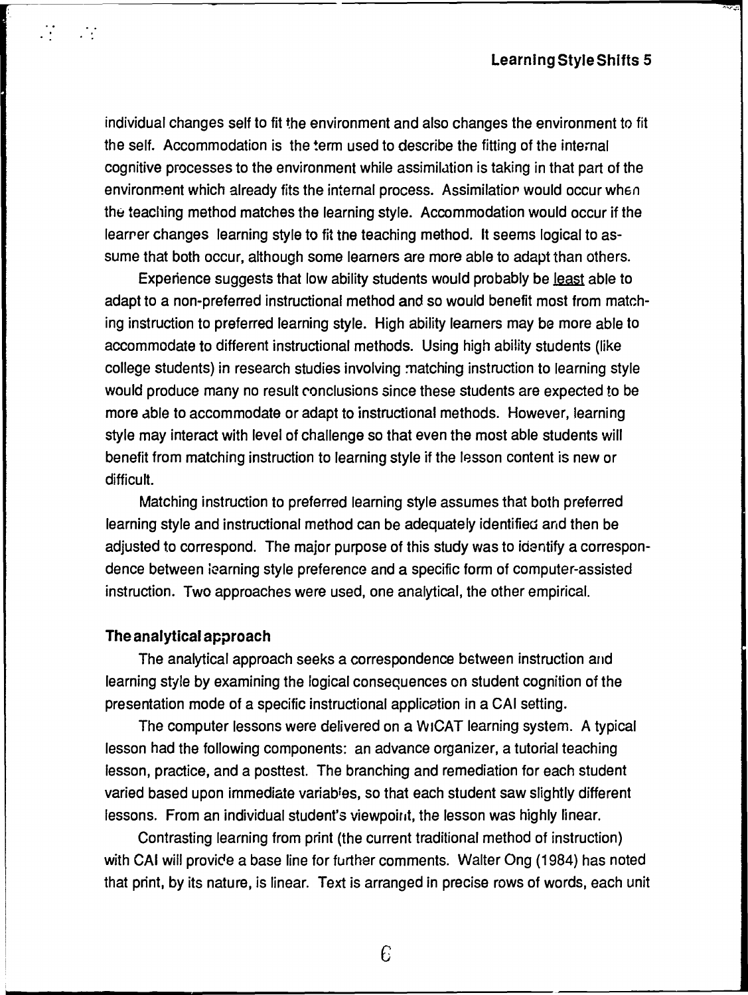individual changes self to fit the environment and also changes the environment to fit the self. Accommodation is the term used to describe the fitting of the internal cognitive processes to the environment while assimilution is taking in that part of the environment which already fits the internal process. Assimilation would occur when the teaching method matches the learning style. Accommodation would occur if the learrer changes Jearning style to fit the teaching method. lt seems logical to assume that both occur, although some leamers are more able to adapt than others.

Experience suggests that low ability students would probably be <u>least</u> able to adapt to a non-preferred instructional method and so would banefit most from matehing instruction to preferred learning style. High ability learners may be more able to accommodate to different instructional methods. Using high ability students (like college students) in research studies involving matching instruction to learning style would produce many no result conclusions since these students are expected to be more able to accommodate or adapt to instructional methods. However, learning style may interact with Ievel of challenge so that even the most able students will benefit from matching instruction to learning style if the lesson content is new or difficult.

Matehing instruction to preferred learning style assumes that both preferred learning style and instructional method can be adequately identified and then be adjusted to correspond. The major purpese of this study was to idantify a correspondence between iearning style preference and a specific form of computer-assisted instruction. Two approaches were used, one analytical, the other empirical.

### The analytical approach

 $\mathcal{L}^{\star}$ 

 $\mathcal{L}^{\text{max}}$ 

The analytical approach seeks a correspondence bstween instruction and learning style by examining the logical consequences an student cognition of the presentation mode of a specific instructional application in a CAI setting.

The computer lessons were delivered on a WICAT learning system. A typical lesson had the following components: an advance organizer, a tutorial teaching lesson, practice, and a posttest. The branching and remediation for each student varied based upon immediate variables, so that each student saw slightly different lessons. From an individual student's viewpoint, the lesson was highly linear.

Contrasting learning from print (the current traditional method of instruction) with CAI will provide a base line for further comments. Walter Ong (1984) has noted that print, by its nature, is linear. Text is arranged in precise rows of words, each unit

 $\epsilon$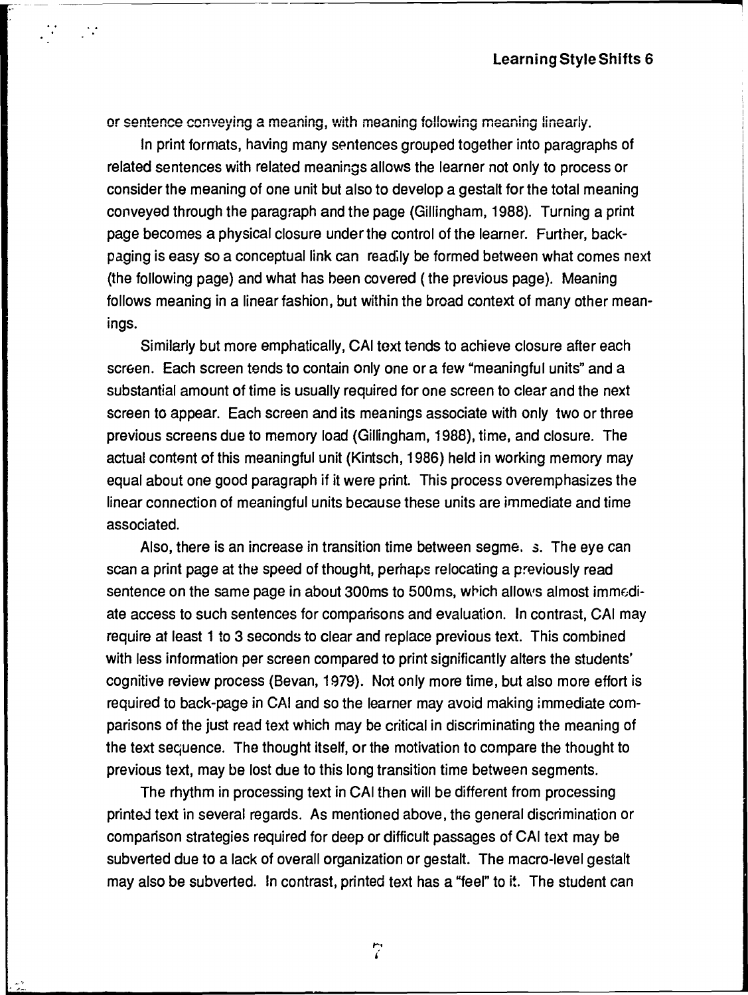or sentence conveying a meaning, with meaning following meaning linearly.

--- <sup>~</sup>--------------

 $\mathcal{M}$ 

 $\sim 10^4$ 

In print formats, having many sentences grouped together into paragraphs of related sentences with related meanings allows the learner not only to process or consider the meaning of one unit but also to develop a gastalt for the total meaning conveyed through the paragraph and the page (Gillingham, 1988). Turning a print page becomes a physical closure under the control of the learner. Further, backpaging is easy so a conceptual link can readily be formed between what comes next (the following page) and what has been covered ( the previous page). Meaning follows meaning in a linear fashion, but within the broad context of many other meanings.

Similarly but more emphatically, CAI toxt tends to achieve closure after each screen. Each screen tends to contain only one or a few "meaningful units" and a substantial amount of time is usually required for one screen to clear and the next screen to appear. Each screen and its meanings associate with only two or three previous screens due to memory Ioad (Gillingham, 1988), time, and closure. The actual content of this meaningful unit (Kintsch, 1986) held in working memory may equal about one good paragraph if it were print. This process overemphasizes the linear connection of meaningful units because these units are immediate and time associated.

Also, there is an increase in transition time between segme. 3. The eye can scan a print page at the speed of thought, perhaps relocating a previously read sentence on the same page in about 300ms to 500ms, which allows almost immediate access to such sentences for comparisons and evaluation. In contrast, CAI may require at least 1 to 3 seconds to clear and replace previous text. This combined with less information per screen compared to print significantly alters the students' cognitive review process (Bevan, 1979). Not only more time, but also more effort is required to back-page in CAI and so the learner may avoid making immediate comparisons of the just read text which may be critical in discriminating the meaning of the text sequence. The thought itself, or the motivation to compare the thought to previous text, may be lost due to this long transition time between segments.

The rhythm in processing text in CAI then will be different from processing printed text in several regards. As mentioned above, the general discrimination or comparison strategies required for deep or difficult passages of CAI text may be subverted due to a Iack of overall organization or gestalt. The macro-level gastalt may also be subverted. In contrast, printed text has a "feel" to it. The student can

 $\overline{r}$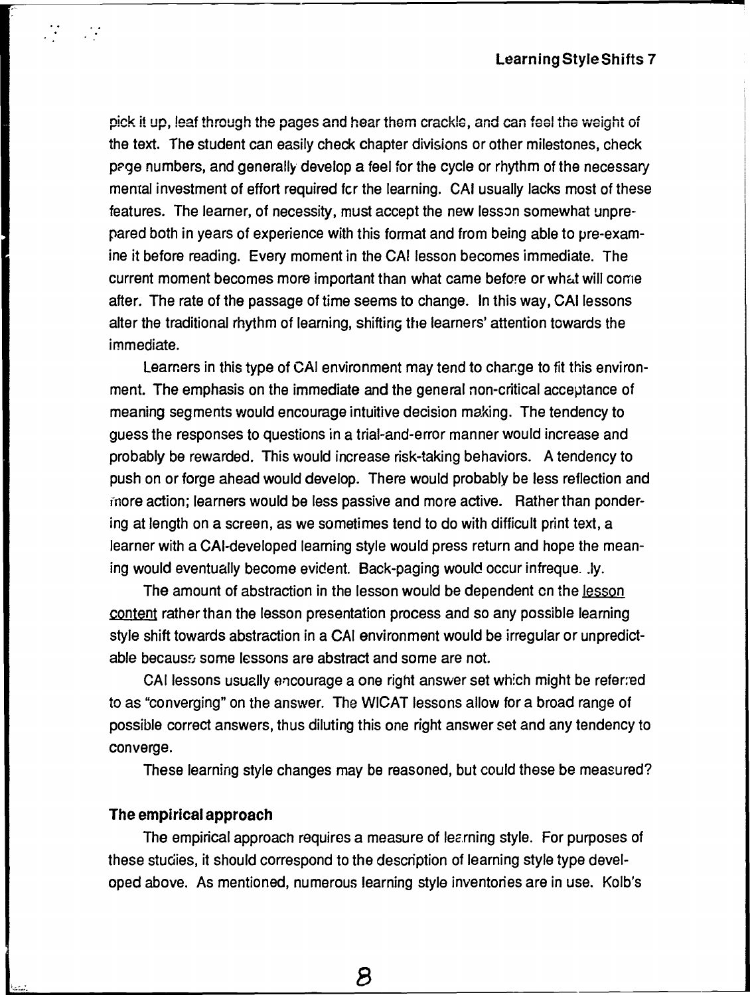pick it up, leaf through the pages and hear them crackle, and can feel the weight of the taxt. The student can easily check chapter divisions or other milestones, check page numbers, and generally develop a feel for the cycle or rhythm of the necessary mental investment of effort required fcr the learning. CAI usually lacks most of these features. The leamer, of necessity, must accept the new Jesson somewhat unprepared both in years of experience with this format and from being able to pre-examine it before reading. Every moment in the CAI lesson becomes immediate. The current moment becomes more important than what came before or what will come after. The rate of the passage of time seems to change. In this way, CAI lessons alter the traditional rhythm of learning, shifting the learners' attention towards the immediate.

Learners in this type of CAI environment may tend to change to fit this environment. The emphasis on the immediate and the general non-critical acceptance of meaning segments would encourage intuitive decision making. The tendency to guess the responses to questions in a trial-and-error manner would increase and probably be rewarded. This would increase risk-taking behaviors. A tendency to push on or forge ahead would develop. There would probably be less reflection and more action; learners would be less passive and more active. Rather than pondering at length on a screen, as we sometimes tend to do with difficult print text, a learner with a CAI-developed learning style would press return and hope the meaning would eventually become evident. Back-paging would occur infreque . .ly.

The amount of abstraction in the lesson would be dependent on the lesson content rather than the lesson presentation process and so any possible learning style shift towards abstraction in a CAI environment would be irregular or unpredictable becauss some lessons are abstract and some are not.

CAI lessons usually encourage a one right answer set which might be refer: ed to as "converging" on the answer. The WICAT Jessons allow for a broad range of possible correct answers, thus diluting this one right answer set and any tendency to converge.

These learning style changes may be reasoned, but could these be measured?

#### The empirical approach

~..;...:. *.. :.* 

 $\mathbb{R}^{\mathbb{Z}_2}$ 

 $\mathbb{R}^2$ 

The empirical approach requires a measure of learning style. For purposes of these studies, it should correspond to the description of learning style type developed above. As mentioned, numerous learning style inventories are in use. Kolb's

*8*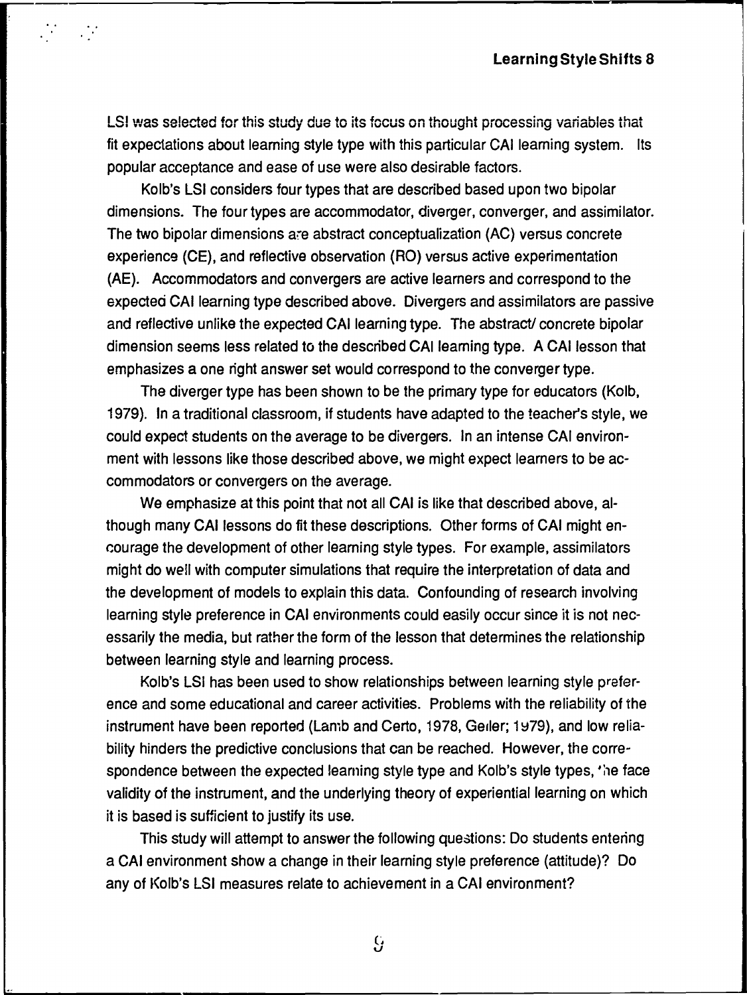$\overline{\phantom{a}}$ 

LSI was selected for this study due to its focus on thought processing variables that fit expectations about leaming style type with this particular CAI leaming system. lts popular acceptance and ease of use were also desirable factors.

 $\mathcal{L}^{\text{max}}_{\text{max}}$ 

Kolb's LSI considers four types that are described based upon two bipolar dimensions. The four types are accommodator, diverger, converger, and assimilator. The two bipolar dimensions are abstract conceptualization (AC) versus concrete experience (CE), and reflective observation (RO) versus active experimentation (AE). Accommodators and convergers are active leamers and correspond to the expected CAI learning type described above. Divergers and assimilators are passive and reflective unlike the expected CAI learning type. The abstract/ concrete bipolar dimension seems less related to the described CAI learning type. A CAI lesson that emphasizes a one right answer set would correspond to the converger type.

The diverger type has been shown to be the primary type for educators (Kalb, 1979). ln a traditional classroom, if students have adapted to the teacher's style, we could expect students on the average to be divergers. ln an intense CAI environment with lessons like those described above, we might expect leamers to be accommodators or convergers on the average.

We emphasize at this point that not all CAI is like that described above, although many CAI lessons do fit these descriptions. Other forms of CAI might encourage the development of other leaming style types. For example, assimilators might do weil with computer Simulations that require the interpretation of data and the development of models to explain this data. Cantounding of research involving learning style preference in CAI environments could easily occur since it is not necessarily the media, but rather the form of the lesson that determines the relationship between learning style and learning process.

Kolb's LSI has been used to show relationships between learning style preference and some educational and career activities. Problems with the reliability of the instrument have been reported (Lamb and Certo, 1978, Geiler; 1979), and low reliability hinders the predictive conclusions that can be reached. However, the correspondence between the expected leaming style type and Kolb's style types, 'he face validity of the instrument, and the underlying theory of experiential learning on which it is based is sufticient to justify its use.

This study will attempt to answer the following questions: Do students entering a CAI environment show a change in their leaming style preference (attitude)? Do any of Kolb's LSI measures relate to achievement in a CAI environment?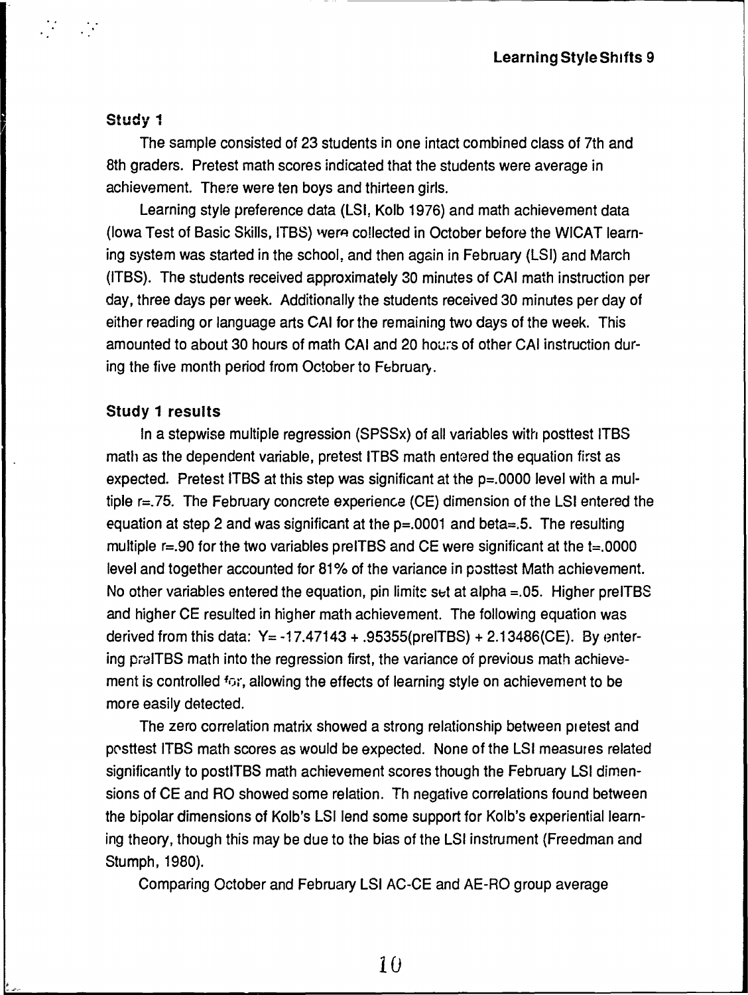### Study 1

The sample consisted of 23 students in one intact combined class of 7th and 8th graders. Pretest math scores indicated that the students were average in achievement. There were ten boys and thirteen girls.

Learning style preference data {LSI, Kolb 1976) and math achievement data (lowa Test of Basic Skills, ITBS) were collected in October before the WICAT learning systemwas started in the school, and then again in February (LSI) and March (ITBS). The students received approximately 30 minutes of CAI math instruction per day, three days per week. Additionally the students received 30 minutes per day of either reading or language arts CAI for the remaining two days of the week. This amounted to about 30 hours of math CAI and 20 hours of other CAI instruction during the five month period from October to February.

### Study 1 results

ln a stepwise multiple regression (SPSSx) of all variables with postlest ITBS math as the dependent variable, pretest ITBS math entered the equation first as expected. Pretest ITBS at this step was significant at the  $p=.0000$  level with a multiple r=. 75. The February concrete experience (CE) dimension of the LSI entered the equation at step 2 and was significant at the  $p=.0001$  and beta $=.5$ . The resulting multiple  $r = .90$  for the two variables preITBS and CE were significant at the  $t = .0000$ level and together accounted for 81% of the variance in posttest Math achievement. No other variables entered the equation, pin limite set at alpha  $=0.05$ . Higher preITBS and higher CE resulted in higher math achievement. The following equation was derived from this data:  $Y = -17.47143 + .95355(prelTBS) + 2.13486(CE)$ . By entering praiTBS math into the regression first, the variance of previous math achievement is controlled for, allowing the effects of learning style on achievement to be more easily detected.

The zero correlation matrix showed a strong relationship between pretest and posttest ITBS math scores as would be expected. None of the LSI measures related significantly to postiTBS math achievement scores though the February LSI dimensions of CE and RO showed some relation. Th negative correlations found between the bipolar dimensions of Kolb's LSI lend some support for Kolb's experiential learning theory, though this may be due to the bias of the LSI instrument (Freedman and Stumph, 1980).

Comparing October and February LSI AC-CE and AE-RO group average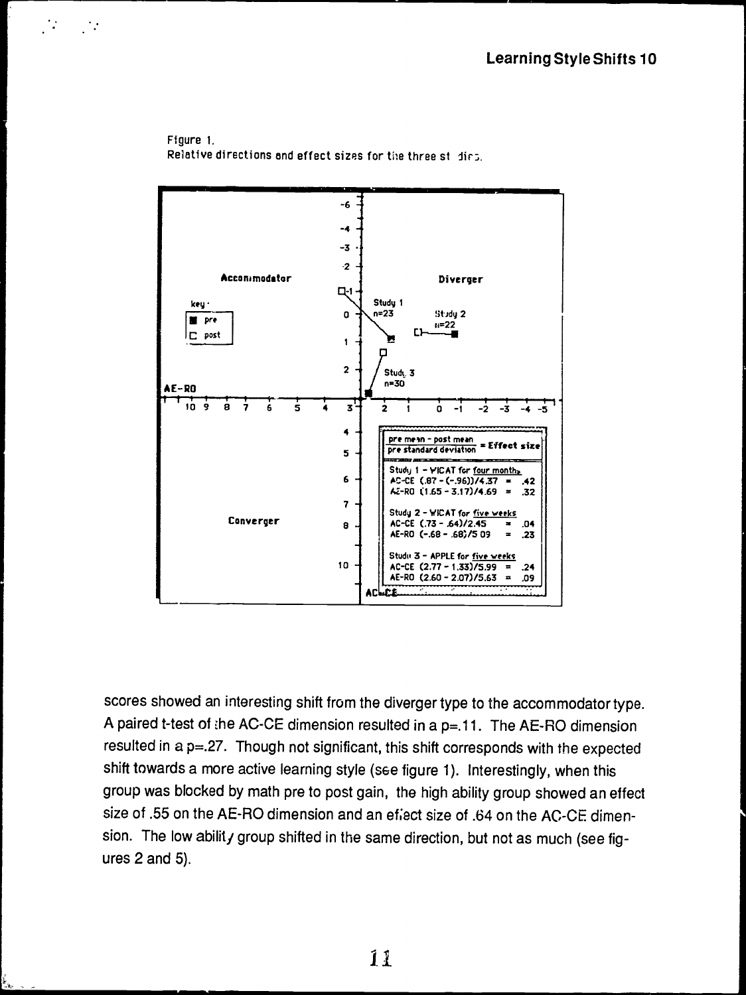



 $\mathcal{N}$ 

 $\mathcal{L}^{\text{max}}$ 

scores showed an interesting shift from the diverger type to the accommodator type. A paired t-test of the AC-CE dimension resulted in a p=.11. The AE-RO dimension resulted in a p=.27. Though not significant, this shift corresponds with the expected shift towards a more active learning style (see figure 1). Interestingly, when this group was blocked by math pre to post gain, the high ability group showed an effect size of .55 on the AE-RO dimension and an effect size of .64 on the AC-CE dimension. The low ability group shifted in the same direction, but not as much (see figures 2 and 5).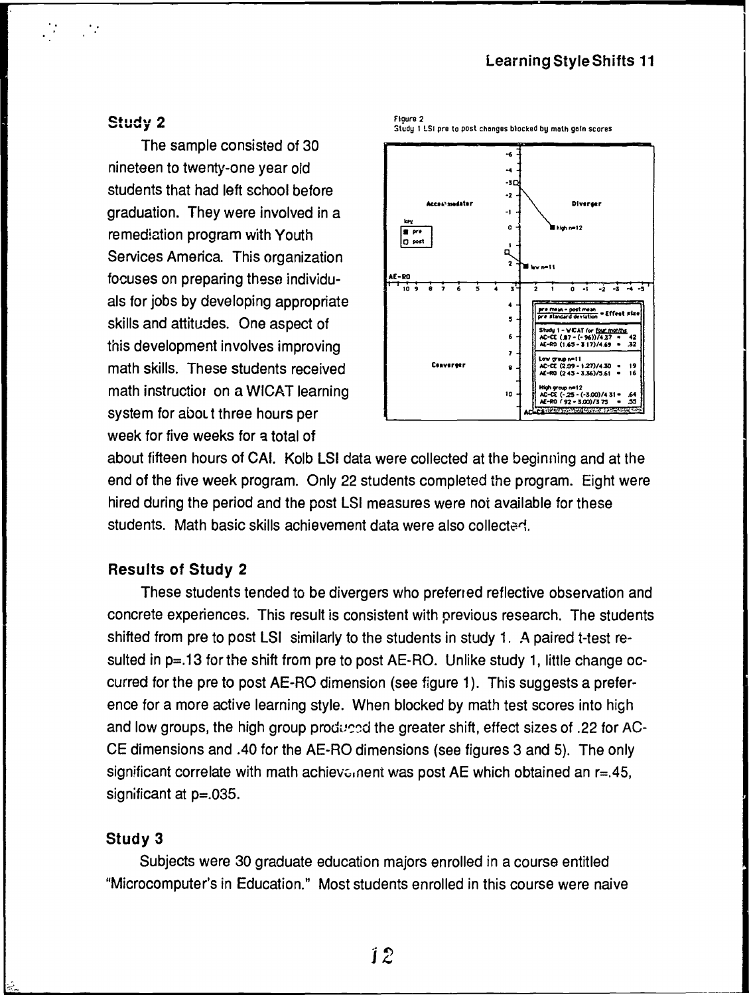### **Learning Style Shifts 11**

### **Study 2**

 $\frac{1}{\sqrt{2}}$ 

 $\mathcal{L}^{\mathcal{L}}$ 

The sample consisted of 30 nineteen to twenty-one year old students that had left school before graduation. They were involved in a remediation program with Youth Services America. This organization focuses on preparing these individuals for jobs by developing appropriate skills and attitudes. One aspect of this development involves improving math skills. These students received math instructior on a WICAT learning system for about three hours per week for five weeks for a total of



about fifteen hours of CAI. Kolb LSI data were collected at the beginning and at the end of the five week program. Only 22 students completed the program. Eight were hired during the period and the post LSI measures were not available for these students. Math basic skills achievement data were also collected.

Floure<sub>2</sub>

### **Results of Study 2**

These students tended to be divergers who preferred reflective observation and concrete experiences. This result is consistent with previous research. The students shifted from pre to post LSI similarly to the students in study 1. A paired t-test resulted in  $p=.13$  for the shift from pre to post AE-RO. Unlike study 1, little change occurred for the pre to post AE-RO dimension (see figure 1). This suggests a preference for a more active learning style. When blocked by math test scores into high and low groups, the high group produced the greater shift, effect sizes of .22 for AC-CE dimensions and .40 for the AE-RO dimensions (see figures 3 and 5). The only significant correlate with math achievalent was post AE which obtained an  $r=.45$ , significant at  $p = 0.035$ .

#### Study 3

Subjects were 30 graduate education majors enrolled in a course entitled "Microcomputer's in Education." Most students enrolled in this course were naive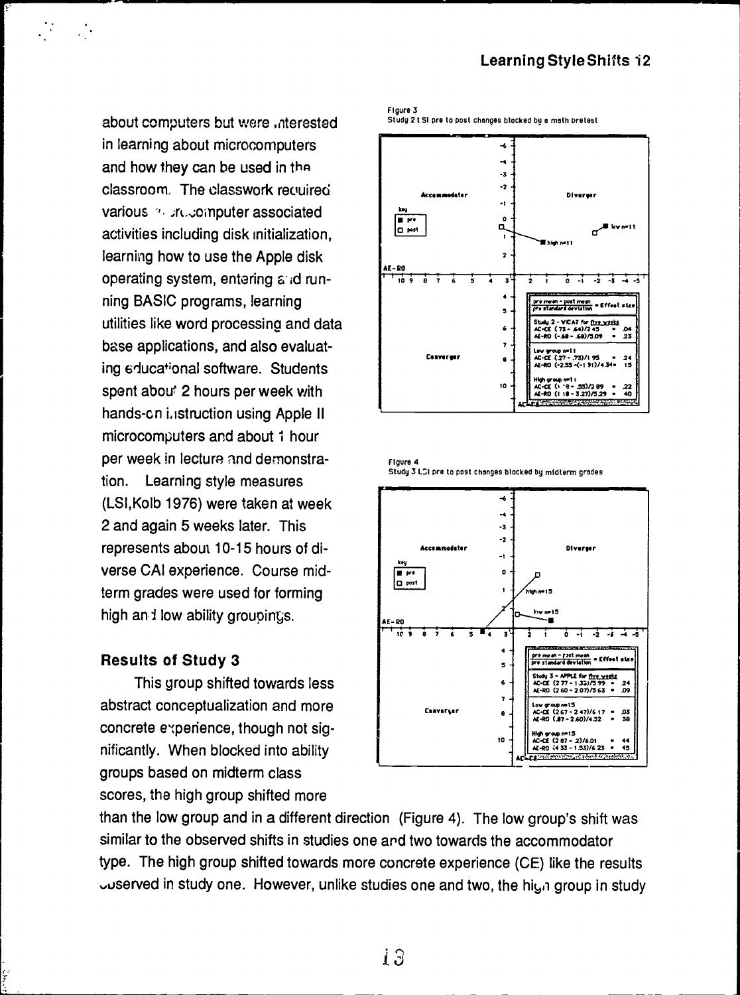## **Learning Style Shifts 12**

about computers but were interested in learning about microcomputers and how they can be used in the classroom. The classwork recuired various and uncomputer associated activities including disk initialization, learning how to use the Apple disk operating system, entering and running BASIC programs, learning utilities like word processing and data base applications, and also evaluating educational software. Students spent about 2 hours per week with hands-on i.istruction using Apple II microcomputers and about 1 hour per week in lecture and demonstration. Learning style measures (LSI, Kolb 1976) were taken at week 2 and again 5 weeks later. This represents about 10-15 hours of diverse CAI experience. Course midterm grades were used for forming high and low ability groupings.

### **Results of Study 3**

This group shifted towards less abstract conceptualization and more concrete experience, though not significantly. When blocked into ability groups based on midterm class scores, the high group shifted more

Figure 3 Study 2 t SI pre to post changes blocked by a math pretest



Figure 4 Study 3 LCI pre to post changes blocked by midterm grades



than the low group and in a different direction (Figure 4). The low group's shift was similar to the observed shifts in studies one and two towards the accommodator type. The high group shifted towards more concrete experience (CE) like the results userved in study one. However, unlike studies one and two, the high group in study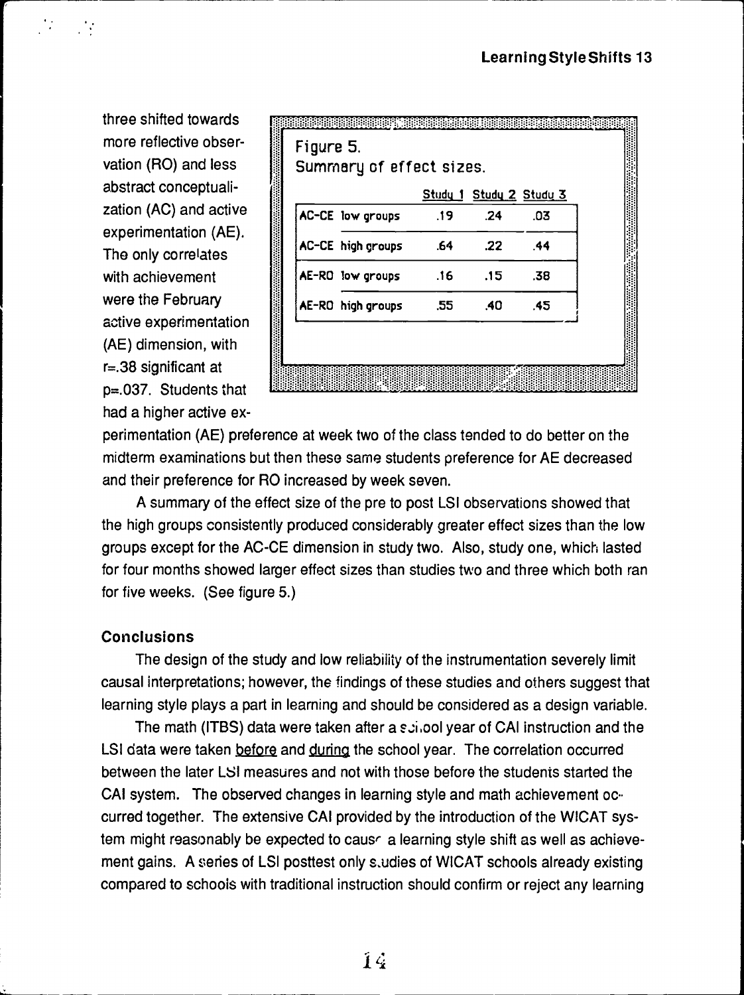three shifted towards more reflective Observation (RO) and less abstract conceptualization (AC) and active experimentation (AE). The only correlates with achievement were the February active experimentation (AE) dimension, with r=.38 significant at p=.037. Students that had a higher active ex-

'.

 $\mathcal{F}_{\mathcal{F}}$ 

|                   |     |                  | Study 1 Study 2 Study 3 |  |
|-------------------|-----|------------------|-------------------------|--|
| AC-CE low groups  | .19 | .24              | .03                     |  |
| AC-CE high groups | .64 | .22 <sub>2</sub> | .44                     |  |
| AE-RO low groups  | .16 | .15              | .38                     |  |
| AE-RO high groups | .55 | .40              | .45                     |  |

-------~-~ -----------~-------------- ---------.

perimentation (AE) preference at week two of the class tended to do better on the midterm examinations but then these same students preference for AE decreased and their preference for RO increased by week seven.

A summary of the effect size of the pre to post LSI Observations showed that the high groups consistently produced considerably greater effect sizes than the low groups except for the AC-CE dimension in study two. Also, study one, which Iasted for four months showed larger effect sizes than studies two and three which both ran for five weeks. (See figure 5.)

### **Conclusions**

The design of the study and low reliability of the instrumentation severely limit causal interpretations; however, the findings of these studies and others suggest that learning style plays a part in learning and should be considered as a design variable.

The math (ITBS) data were taken after a  $\varepsilon$ : j.ool year of CAI instruction and the LSI data were taken before and during the school year. The correlation occurred between the later LSI measures and not with those before the students started the CAI system. The observed changes in learning style and math achievement occurred together. The extensive CAI provided by the introduction of the WICAT system might reasonably be expected to causr a learning style shift as weil as achiavement gains. A series of LSI posttest only s.udies of WICAT schools already existing compared to schools with traditional instruction should confirm or reject any learning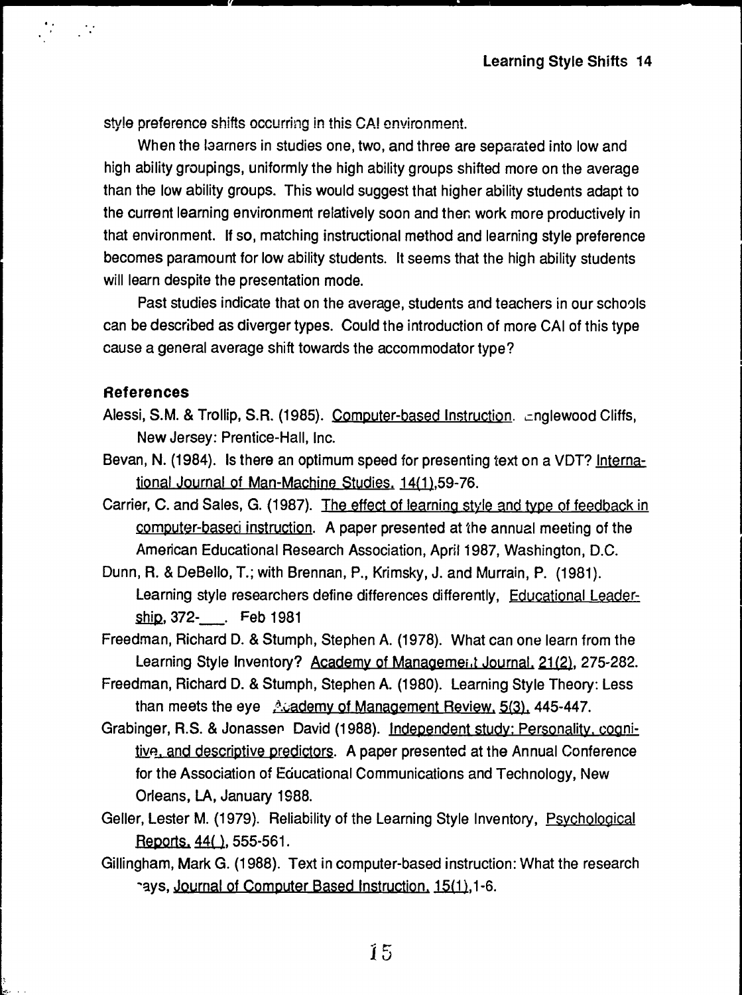style preference shifts occurring in this CAI cnvironment.

When the laarners in studies one, two, and three are separated into low and high ability groupings, uniformly the high ability groups shifted more on the average than the low ability groups. This would suggest that higher ability students adapt to the current learning environment relatively soon and ther. work more productively in that environment. lf so, matehing instructional method and learning style preference becomes paramount for low ability students. lt seems that the high ability students will learn despite the presentation mode.

Past studies indicate that on the average, students and teachers in our schools can be described as diverger types. Could the introduction of more CAI of this type cause a general average shift towards the accommodator type?

### References

..

- Alessi, S.M. & Trollip, S.R. (1985). Computer-based Instruction. cnglewood Cliffs, New Jersey: Prentice-Hall, lnc.
- Bevan, N. (1984). Is there an optimum speed for presenting text on a VDT? International Journal of Man-Machine Studies. 14(1),59-76.
- Carrier, C. and Sales, G. (1987). The effect of learning style and type of feedback in computer-baseci instruction. A paper presented at the annual meeting of the American Educational Research Association, April 1987, Washington, D.C.
- Dunn, R. & DeBello, T.; with Brennan, P., Krimsky, J. and Murrain, P. (1981). Learning style researchers define differences differently, Educational Leadership, 372-\_\_\_. Feb 1981
- Freedman, Richard D. & Stumph, Stephen A. (1978). What can one learn from the Learning Style Inventory? Academy of Management Journal, 21(2), 275-282.
- Freedman, Richard D. & Stumph, Stephen A. (1980). Learning Style Theory: Lass than meets the eye  $\frac{A}{A}$  ademy of Management Review, 5.(3), 445-447.
- Grabinger, R.S. & Jonasser David (1988). Independent study: Personality. cognitive, and descriptive predictors. A paper presented at the Annual Conference for the Association of Educational Communications and Technology, New Orleans, LA, January 1988.
- Geller, Lester M. (1979). Reliability of the Learning Style Inventory, Psychological  $Reports, 44()$ , 555-561.
- Gillingham, Mark G. (1988). Text in computer-based instruction: What the research -ays, Journal of Computer Based Instruction. 15(1), 1-6.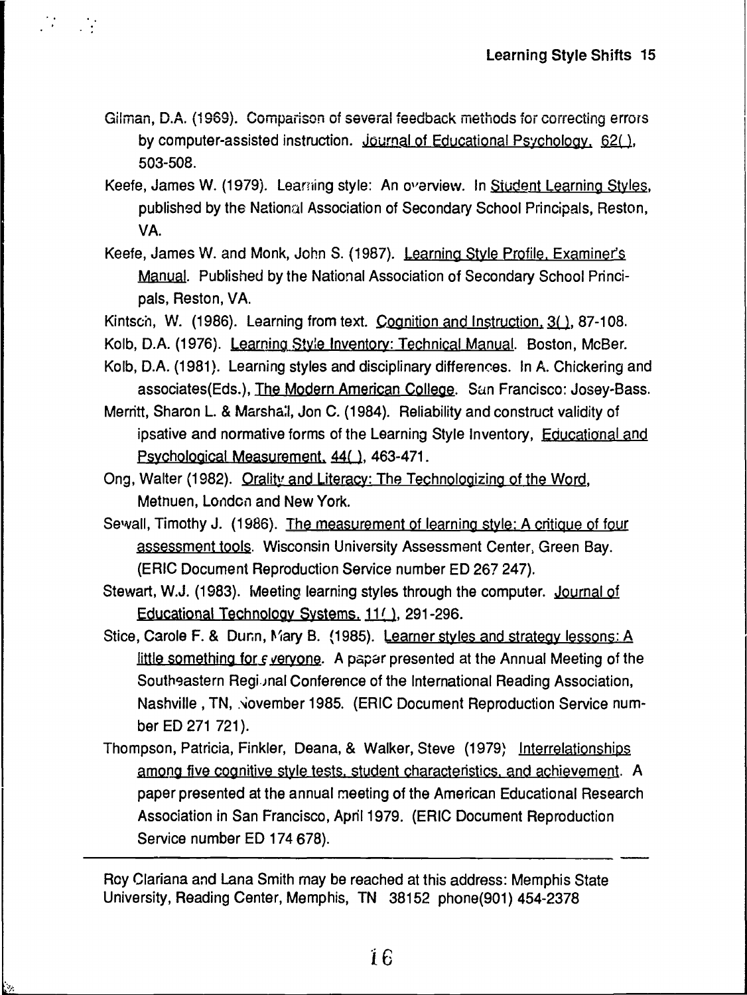Gilman, D.A. (1969). Comparison of several feedback methods for correcting errors by computer-assisted instruction. Journal of Educational Psychology, 62(), 503-508.

 $\mathcal{L}^{\text{max}}_{\text{max}}$ 

- Keefe, James W. (1979). Learning style: An overview. In Student Learning Styles, published by the National Association of Secondary School Principals, Reston, VA.
- Keefe, James W. and Monk, John S. (1987). Learning Style Profile, Examiner's Manual. Published by the National Association of Secondary School Principals, Reston, VA.
- Kintsch, W. (1986). Learning from text. Cognition and Instruction, 3(), 87-108.
- Kolb, D.A. (1976). Learning Style Inventory: Technical Manual. Boston, McBer.
- Kolb, D.A. (1981). Learning styles and disciplinary differences. In A. Chickering and associates(Eds.), The Modern American College. San Francisco: Josey-Bass.
- Merritt, Sharon L. & Marshall, Jon C. (1984). Reliability and construct validity of ipsative and normative forms of the Learning Style Inventory, Educational and Psychological Measurement, 44(), 463-471.
- Ong, Walter (1982). Orality and Literacy: The Technologizing of the Word, Methuen, London and New York.
- Sewall, Timothy J. (1986). The measurement of learning style: A critique of four assessment tools. Wisconsin University Assessment Center, Green Bay. (ERIC Document Reproduction Service number ED 267 247).
- Stewart, W.J. (1983). Meeting learning styles through the computer. Journal of Educational Technology Systems, 11(1), 291-296.
- Stice, Carole F. & Dunn, Mary B. (1985). Learner styles and strategy lessons: A little something for *s* veryone. A paper presented at the Annual Meeting of the Southeastern Regional Conference of the International Reading Association, Nashville, TN, November 1985. (ERIC Document Reproduction Service number ED 271 721).
- Thompson, Patricia, Finkler, Deana, & Walker, Steve (1979) Interrelationships among five cognitive style tests, student characteristics, and achievement. A paper presented at the annual meeting of the American Educational Research Association in San Francisco, April 1979. (ERIC Document Reproduction Service number ED 174 678).

Roy Clariana and Lana Smith may be reached at this address: Memphis State University, Reading Center, Memphis, TN 38152 phone(901) 454-2378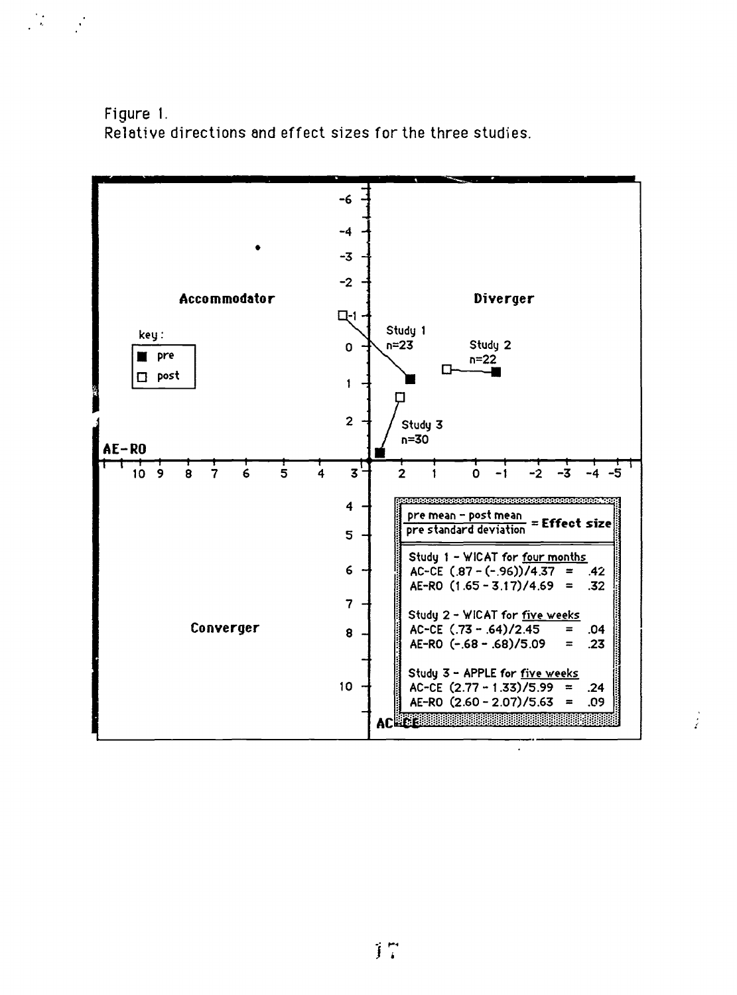Figure 1. Relative directions and effect sizes for the three studies.

 $\label{eq:2} \frac{1}{2} \frac{d^2}{dt^2} \left( \frac{d^2}{dt^2} - \frac{d^2}{dt^2} \right)$ 



 $\frac{1}{2}$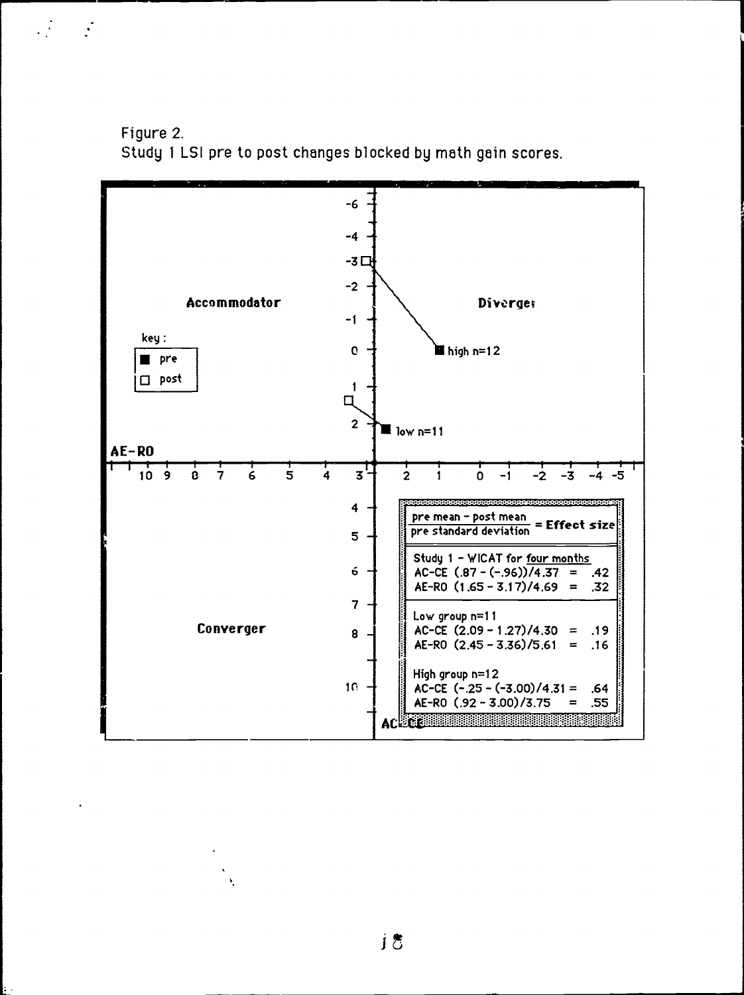

 $\frac{1}{2}$ 

 $\cdot$ 

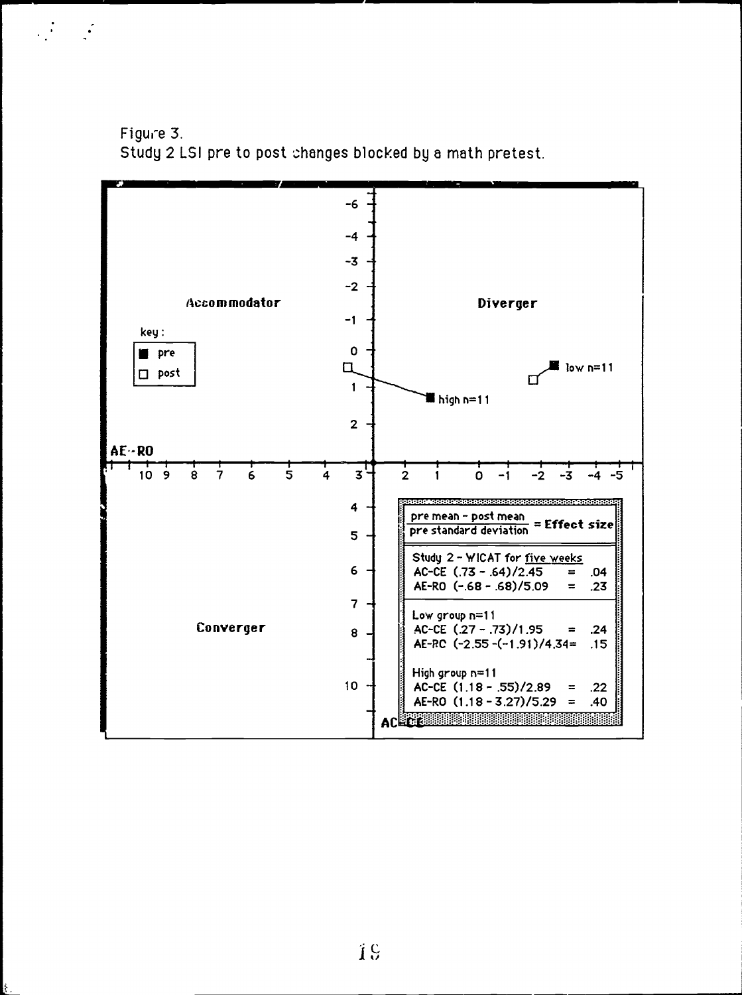

 $\mathcal{L}^{\text{max}}_{\text{max}}$